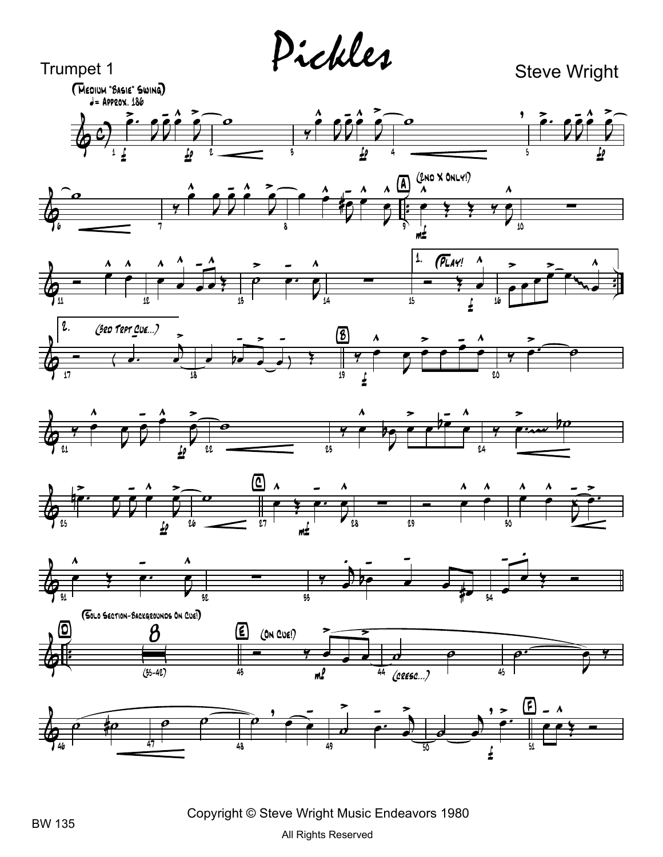Pickles

**Steve Wright** 



















Copyright © Steve Wright Music Endeavors 1980

Trumpet 1